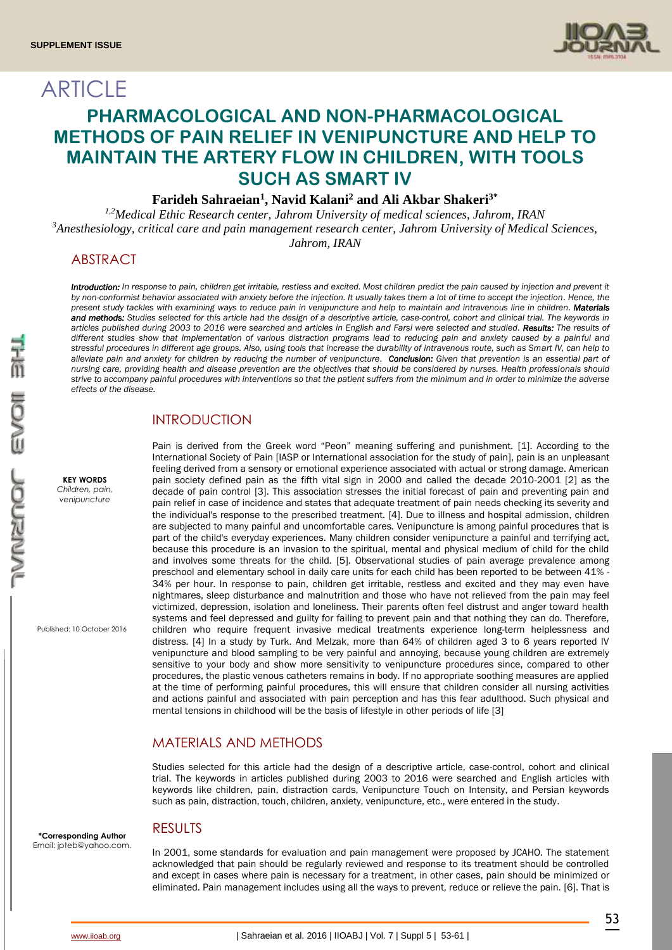ARTICLE



# **PHARMACOLOGICAL AND NON-PHARMACOLOGICAL METHODS OF PAIN RELIEF IN VENIPUNCTURE AND HELP TO MAINTAIN THE ARTERY FLOW IN CHILDREN, WITH TOOLS SUCH AS SMART IV**

## **Farideh Sahraeian<sup>1</sup> , Navid Kalani<sup>2</sup> and Ali Akbar Shakeri3\***

*1,2Medical Ethic Research center, Jahrom University of medical sciences, Jahrom, IRAN <sup>3</sup>Anesthesiology, critical care and pain management research center, Jahrom University of Medical Sciences, Jahrom, IRAN*

# ABSTRACT

Introduction: In response to pain, children get irritable, restless and excited. Most children predict the pain caused by injection and prevent it by non-conformist behavior associated with anxiety before the injection. It usually takes them a lot of time to accept the injection. Hence, the *present study tackles with examining ways to reduce pain in venipuncture and help to maintain and intravenous line in children. Materials and methods: Studies selected for this article had the design of a descriptive article, case-control, cohort and clinical trial. The keywords in articles published during 2003 to 2016 were searched and articles in English and Farsi were selected and studied. Results: The results of different studies show that implementation of various distraction programs lead to reducing pain and anxiety caused by a painful and stressful procedures in different age groups. Also, using tools that increase the durability of intravenous route, such as Smart IV, can help to*  alleviate pain and anxiety for children by reducing the number of venipuncture. Conclusion: Given that prevention is an essential part of *nursing care, providing health and disease prevention are the objectives that should be considered by nurses. Health professionals should strive to accompany painful procedures with interventions so that the patient suffers from the minimum and in order to minimize the adverse effects of the disease.*

### INTRODUCTION

Pain is derived from the Greek word "Peon" meaning suffering and punishment. [1]. According to the International Society of Pain [IASP or International association for the study of pain], pain is an unpleasant feeling derived from a sensory or emotional experience associated with actual or strong damage. American pain society defined pain as the fifth vital sign in 2000 and called the decade 2010-2001 [2] as the decade of pain control [3]. This association stresses the initial forecast of pain and preventing pain and pain relief in case of incidence and states that adequate treatment of pain needs checking its severity and the individual's response to the prescribed treatment. [4]. Due to illness and hospital admission, children are subjected to many painful and uncomfortable cares. Venipuncture is among painful procedures that is part of the child's everyday experiences. Many children consider venipuncture a painful and terrifying act, because this procedure is an invasion to the spiritual, mental and physical medium of child for the child and involves some threats for the child. [5]. Observational studies of pain average prevalence among preschool and elementary school in daily care units for each child has been reported to be between 41% - 34% per hour. In response to pain, children get irritable, restless and excited and they may even have nightmares, sleep disturbance and malnutrition and those who have not relieved from the pain may feel victimized, depression, isolation and loneliness. Their parents often feel distrust and anger toward health systems and feel depressed and guilty for failing to prevent pain and that nothing they can do. Therefore, children who require frequent invasive medical treatments experience long-term helplessness and distress. [4] In a study by Turk. And Melzak, more than 64% of children aged 3 to 6 years reported IV venipuncture and blood sampling to be very painful and annoying, because young children are extremely sensitive to your body and show more sensitivity to venipuncture procedures since, compared to other procedures, the plastic venous catheters remains in body. If no appropriate soothing measures are applied at the time of performing painful procedures, this will ensure that children consider all nursing activities and actions painful and associated with pain perception and has this fear adulthood. Such physical and mental tensions in childhood will be the basis of lifestyle in other periods of life [3]

## MATERIALS AND METHODS

Studies selected for this article had the design of a descriptive article, case-control, cohort and clinical trial. The keywords in articles published during 2003 to 2016 were searched and English articles with keywords like children, pain, distraction cards, Venipuncture Touch on Intensity, and Persian keywords such as pain, distraction, touch, children, anxiety, venipuncture, etc., were entered in the study.

### RESULTS

In 2001, some standards for evaluation and pain management were proposed by JCAHO. The statement acknowledged that pain should be regularly reviewed and response to its treatment should be controlled and except in cases where pain is necessary for a treatment, in other cases, pain should be minimized or eliminated. Pain management includes using all the ways to prevent, reduce or relieve the pain. [6]. That is

Published: 10 October 2016

**KEY WORDS** *Children, pain, venipuncture*

**\*Corresponding Author** Email: jpteb@yahoo.com.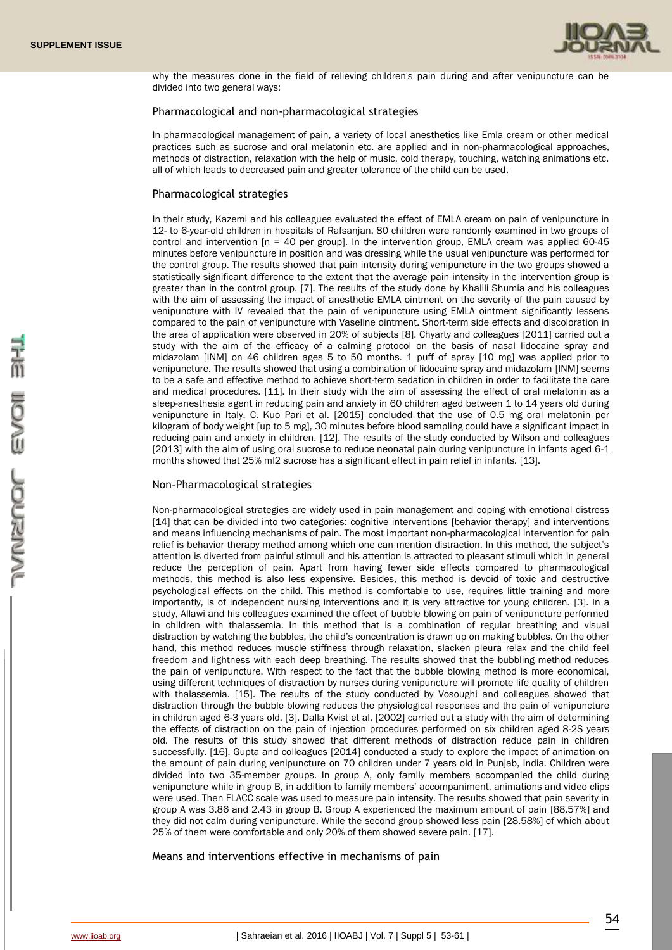

why the measures done in the field of relieving children's pain during and after venipuncture can be divided into two general ways:

#### Pharmacological and non-pharmacological strategies

In pharmacological management of pain, a variety of local anesthetics like Emla cream or other medical practices such as sucrose and oral melatonin etc. are applied and in non-pharmacological approaches, methods of distraction, relaxation with the help of music, cold therapy, touching, watching animations etc. all of which leads to decreased pain and greater tolerance of the child can be used.

#### Pharmacological strategies

In their study, Kazemi and his colleagues evaluated the effect of EMLA cream on pain of venipuncture in 12- to 6-year-old children in hospitals of Rafsanjan. 80 children were randomly examined in two groups of control and intervention  $[n = 40$  per group]. In the intervention group, EMLA cream was applied 60-45 minutes before venipuncture in position and was dressing while the usual venipuncture was performed for the control group. The results showed that pain intensity during venipuncture in the two groups showed a statistically significant difference to the extent that the average pain intensity in the intervention group is greater than in the control group. [7]. The results of the study done by Khalili Shumia and his colleagues with the aim of assessing the impact of anesthetic EMLA ointment on the severity of the pain caused by venipuncture with IV revealed that the pain of venipuncture using EMLA ointment significantly lessens compared to the pain of venipuncture with Vaseline ointment. Short-term side effects and discoloration in the area of application were observed in 20% of subjects [8]. Chyarty and colleagues [2011] carried out a study with the aim of the efficacy of a calming protocol on the basis of nasal lidocaine spray and midazolam [INM] on 46 children ages 5 to 50 months. 1 puff of spray [10 mg] was applied prior to venipuncture. The results showed that using a combination of lidocaine spray and midazolam [INM] seems to be a safe and effective method to achieve short-term sedation in children in order to facilitate the care and medical procedures. [11]. In their study with the aim of assessing the effect of oral melatonin as a sleep-anesthesia agent in reducing pain and anxiety in 60 children aged between 1 to 14 years old during venipuncture in Italy, C. Kuo Pari et al. [2015] concluded that the use of 0.5 mg oral melatonin per kilogram of body weight [up to 5 mg], 30 minutes before blood sampling could have a significant impact in reducing pain and anxiety in children. [12]. The results of the study conducted by Wilson and colleagues [2013] with the aim of using oral sucrose to reduce neonatal pain during venipuncture in infants aged 6-1 months showed that 25% ml2 sucrose has a significant effect in pain relief in infants. [13].

#### Non-Pharmacological strategies

Non-pharmacological strategies are widely used in pain management and coping with emotional distress [14] that can be divided into two categories: cognitive interventions [behavior therapy] and interventions and means influencing mechanisms of pain. The most important non-pharmacological intervention for pain relief is behavior therapy method among which one can mention distraction. In this method, the subject's attention is diverted from painful stimuli and his attention is attracted to pleasant stimuli which in general reduce the perception of pain. Apart from having fewer side effects compared to pharmacological methods, this method is also less expensive. Besides, this method is devoid of toxic and destructive psychological effects on the child. This method is comfortable to use, requires little training and more importantly, is of independent nursing interventions and it is very attractive for young children. [3]. In a study, Allawi and his colleagues examined the effect of bubble blowing on pain of venipuncture performed in children with thalassemia. In this method that is a combination of regular breathing and visual distraction by watching the bubbles, the child's concentration is drawn up on making bubbles. On the other hand, this method reduces muscle stiffness through relaxation, slacken pleura relax and the child feel freedom and lightness with each deep breathing. The results showed that the bubbling method reduces the pain of venipuncture. With respect to the fact that the bubble blowing method is more economical, using different techniques of distraction by nurses during venipuncture will promote life quality of children with thalassemia. [15]. The results of the study conducted by Vosoughi and colleagues showed that distraction through the bubble blowing reduces the physiological responses and the pain of venipuncture in children aged 6-3 years old. [3]. Dalla Kvist et al. [2002] carried out a study with the aim of determining the effects of distraction on the pain of injection procedures performed on six children aged 8-2S years old. The results of this study showed that different methods of distraction reduce pain in children successfully. [16]. Gupta and colleagues [2014] conducted a study to explore the impact of animation on the amount of pain during venipuncture on 70 children under 7 years old in Punjab, India. Children were divided into two 35-member groups. In group A, only family members accompanied the child during venipuncture while in group B, in addition to family members' accompaniment, animations and video clips were used. Then FLACC scale was used to measure pain intensity. The results showed that pain severity in group A was 3.86 and 2.43 in group B. Group A experienced the maximum amount of pain [88.57%] and they did not calm during venipuncture. While the second group showed less pain [28.58%] of which about 25% of them were comfortable and only 20% of them showed severe pain. [17].

Means and interventions effective in mechanisms of pain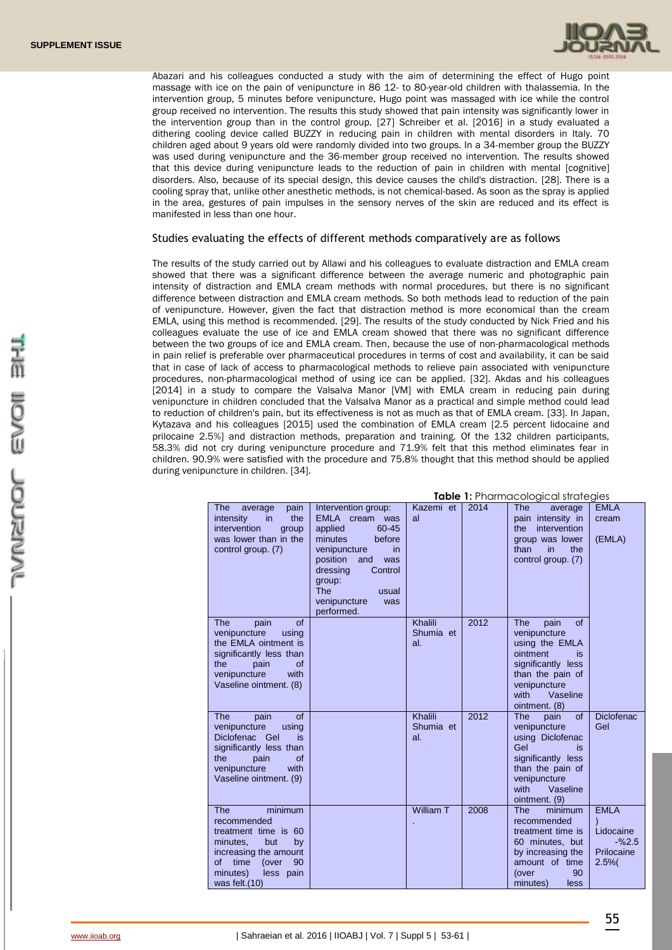

Abazari and his colleagues conducted a study with the aim of determining the effect of Hugo point massage with ice on the pain of venipuncture in 86 12- to 80-year-old children with thalassemia. In the intervention group, 5 minutes before venipuncture, Hugo point was massaged with ice while the control group received no intervention. The results this study showed that pain intensity was significantly lower in the intervention group than in the control group. [27] Schreiber et al. [2016] in a study evaluated a dithering cooling device called BUZZY in reducing pain in children with mental disorders in Italy. 70 children aged about 9 years old were randomly divided into two groups. In a 34-member group the BUZZY was used during venipuncture and the 36-member group received no intervention. The results showed that this device during venipuncture leads to the reduction of pain in children with mental [cognitive] disorders. Also, because of its special design, this device causes the child's distraction. [28]. There is a cooling spray that, unlike other anesthetic methods, is not chemical-based. As soon as the spray is applied in the area, gestures of pain impulses in the sensory nerves of the skin are reduced and its effect is manifested in less than one hour.

#### Studies evaluating the effects of different methods comparatively are as follows

The results of the study carried out by Allawi and his colleagues to evaluate distraction and EMLA cream showed that there was a significant difference between the average numeric and photographic pain intensity of distraction and EMLA cream methods with normal procedures, but there is no significant difference between distraction and EMLA cream methods. So both methods lead to reduction of the pain of venipuncture. However, given the fact that distraction method is more economical than the cream EMLA, using this method is recommended. [29]. The results of the study conducted by Nick Fried and his colleagues evaluate the use of ice and EMLA cream showed that there was no significant difference between the two groups of ice and EMLA cream. Then, because the use of non-pharmacological methods in pain relief is preferable over pharmaceutical procedures in terms of cost and availability, it can be said that in case of lack of access to pharmacological methods to relieve pain associated with venipuncture procedures, non-pharmacological method of using ice can be applied. [32]. Akdas and his colleagues [2014] in a study to compare the Valsalva Manor [VM] with EMLA cream in reducing pain during venipuncture in children concluded that the Valsalva Manor as a practical and simple method could lead to reduction of children's pain, but its effectiveness is not as much as that of EMLA cream. [33]. In Japan, Kytazava and his colleagues [2015] used the combination of EMLA cream [2.5 percent lidocaine and prilocaine 2.5%] and distraction methods, preparation and training. Of the 132 children participants, 58.3% did not cry during venipuncture procedure and 71.9% felt that this method eliminates fear in children. 90.9% were satisfied with the procedure and 75.8% thought that this method should be applied during venipuncture in children. [34].

| <b>Table 1:</b> Pharmacological strategies |                                                                                                                                                                                       |                                                                                                                                                                                                                                |                             |      |                                                                                                                                                                             |                                                           |  |
|--------------------------------------------|---------------------------------------------------------------------------------------------------------------------------------------------------------------------------------------|--------------------------------------------------------------------------------------------------------------------------------------------------------------------------------------------------------------------------------|-----------------------------|------|-----------------------------------------------------------------------------------------------------------------------------------------------------------------------------|-----------------------------------------------------------|--|
|                                            | pain<br>The<br>average<br>intensity<br>the<br>in.<br>intervention<br>group<br>was lower than in the<br>control group. (7)                                                             | Intervention group:<br>EMLA cream<br>was<br>60-45<br>applied<br>before<br>minutes<br>venipuncture<br>in<br>position<br>and<br>was<br>dressing<br>Control<br>group:<br><b>The</b><br>usual<br>venipuncture<br>was<br>performed. | Kazemi et<br>al             | 2014 | <b>The</b><br>average<br>pain intensity in<br>intervention<br>the<br>group was lower<br>the<br>than<br>in<br>control group. (7)                                             | <b>EMLA</b><br>cream<br>(EMLA)                            |  |
|                                            | <b>of</b><br>The<br>pain<br>venipuncture<br>using<br>the EMLA ointment is<br>significantly less than<br>the<br>pain<br>of<br>venipuncture<br>with<br>Vaseline ointment. (8)           |                                                                                                                                                                                                                                | Khalili<br>Shumia et<br>al. | 2012 | of<br><b>The</b><br>pain<br>venipuncture<br>using the EMLA<br>ointment<br>is<br>significantly less<br>than the pain of<br>venipuncture<br>with<br>Vaseline<br>ointment. (8) |                                                           |  |
|                                            | <b>The</b><br>pain<br>of<br>venipuncture<br>using<br>Diclofenac Gel<br>is<br>significantly less than<br>the<br>pain<br>of<br>venipuncture<br>with<br>Vaseline ointment. (9)           |                                                                                                                                                                                                                                | Khalili<br>Shumia et<br>al. | 2012 | of<br><b>The</b><br>pain<br>venipuncture<br>using Diclofenac<br>Gel<br>is<br>significantly less<br>than the pain of<br>venipuncture<br>with<br>Vaseline<br>ointment. (9)    | <b>Diclofenac</b><br>Gel                                  |  |
|                                            | <b>The</b><br>minimum<br>recommended<br>treatment time is 60<br>minutes,<br>but<br>by<br>increasing the amount<br>time<br>οf<br>(over<br>90<br>minutes)<br>less pain<br>was felt.(10) |                                                                                                                                                                                                                                | William T                   | 2008 | <b>The</b><br>minimum<br>recommended<br>treatment time is<br>60 minutes, but<br>by increasing the<br>amount of time<br>90<br>(over<br>minutes)<br>less                      | <b>EMLA</b><br>Lidocaine<br>$-%2.5$<br>Prilocaine<br>2.5% |  |

**Table 1:** Pharmacological strategies in the pharmacological strategies in the pharmacological strategies in the pharmacological strategies in the pharmacological strategies in the pharmacological strategies in the pharmac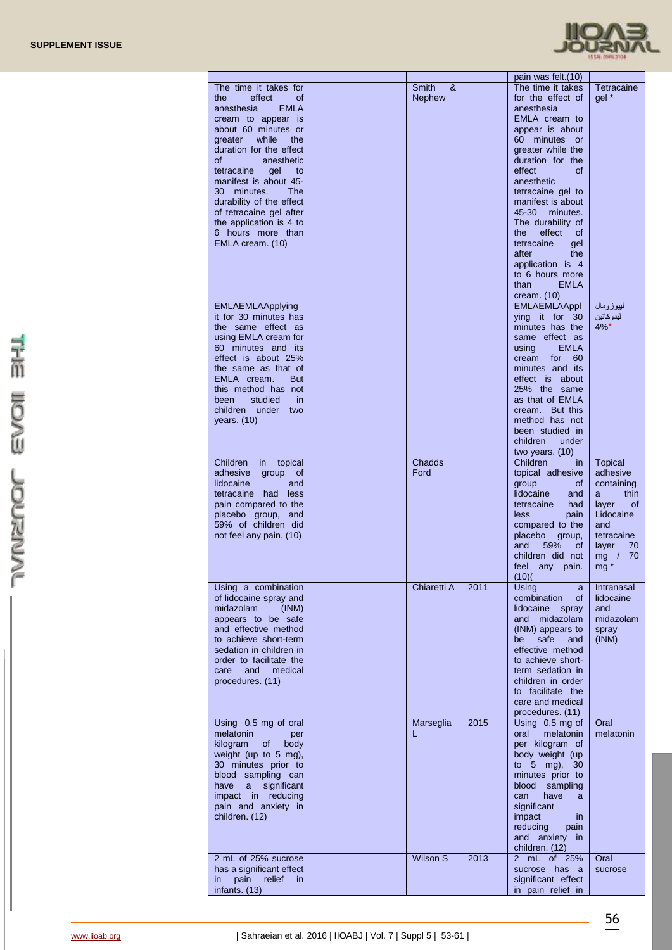

|                                                                                                                                                                                                                                                                                                                                                                                                              |                             |      | pain was felt.(10)                                                                                                                                                                                                                                                                                                                                                                                                     |                                                                                                                                                        |
|--------------------------------------------------------------------------------------------------------------------------------------------------------------------------------------------------------------------------------------------------------------------------------------------------------------------------------------------------------------------------------------------------------------|-----------------------------|------|------------------------------------------------------------------------------------------------------------------------------------------------------------------------------------------------------------------------------------------------------------------------------------------------------------------------------------------------------------------------------------------------------------------------|--------------------------------------------------------------------------------------------------------------------------------------------------------|
| The time it takes for<br>effect<br><b>of</b><br>the<br><b>EMLA</b><br>anesthesia<br>cream to appear is<br>about 60 minutes or<br>while<br>the<br>greater<br>duration for the effect<br>anesthetic<br>οf<br>tetracaine<br>gel<br>to<br>manifest is about 45-<br>30 minutes.<br>The<br>durability of the effect<br>of tetracaine gel after<br>the application is 4 to<br>6 hours more than<br>EMLA cream. (10) | Smith<br>&<br><b>Nephew</b> |      | The time it takes<br>for the effect of<br>anesthesia<br>EMLA cream to<br>appear is about<br>60 minutes or<br>greater while the<br>duration for the<br>effect<br><b>of</b><br>anesthetic<br>tetracaine gel to<br>manifest is about<br>45 30<br>minutes.<br>The durability of<br>the<br>effect<br>0f<br>tetracaine<br>gel<br>the<br>after<br>application is 4<br>to 6 hours more<br>than<br><b>EMLA</b><br>cream. $(10)$ | Tetracaine<br>gel *                                                                                                                                    |
| <b>EMLAEMLAApplying</b><br>it for 30 minutes has<br>the same effect as<br>using EMLA cream for<br>60 minutes and its<br>effect is about 25%<br>the same as that of<br>EMLA cream.<br><b>But</b><br>this method has not<br>studied<br>in.<br>been<br>children under<br>two<br>years. (10)                                                                                                                     |                             |      | <b>EMLAEMLAAppl</b><br>ying it for 30<br>minutes has the<br>same effect as<br><b>EMLA</b><br>using<br>for<br>60<br>cream<br>minutes and its<br>effect is about<br>25% the same<br>as that of EMLA<br>cream. But this<br>method has not<br>been studied in<br>children<br>under<br>two years. (10)                                                                                                                      | لبيوزومال<br>ليدو كائين<br>$4\%$ *                                                                                                                     |
| Children<br>topical<br>in.<br>adhesive<br>group<br>0f<br>lidocaine<br>and<br>tetracaine had less<br>pain compared to the<br>placebo group, and<br>59% of children did<br>not feel any pain. (10)                                                                                                                                                                                                             | Chadds<br>Ford              |      | Children<br>in.<br>topical adhesive<br>group<br>0f<br>lidocaine<br>and<br>tetracaine<br>had<br>less<br>pain<br>compared to the<br>placebo<br>group,<br>59%<br>and<br>0f<br>children did not<br>feel<br>any pain.<br>(10)(                                                                                                                                                                                              | <b>Topical</b><br>adhesive<br>containing<br>thin<br>a<br>layer<br>0f<br>Lidocaine<br>and<br>tetracaine<br>layer<br>70<br>70<br>mg /<br>mg <sup>*</sup> |
| Using a combination<br>of lidocaine spray and<br>midazolam<br>(INM)<br>appears to be safe<br>and effective method<br>to achieve short-term<br>sedation in children in<br>order to facilitate the<br>medical<br>care<br>and<br>procedures. (11)                                                                                                                                                               | Chiaretti A                 | 2011 | Using<br>a<br>combination<br>0f<br>lidocaine<br>spray<br>and midazolam<br>(INM) appears to<br>safe<br>be<br>and<br>effective method<br>to achieve short-<br>term sedation in<br>children in order<br>to facilitate the<br>care and medical<br>procedures. (11)                                                                                                                                                         | Intranasal<br>lidocaine<br>and<br>midazolam<br>spray<br>(INM)                                                                                          |
| Using 0.5 mg of oral<br>melatonin<br>per<br>kilogram<br>of<br>body<br>weight (up to 5 mg),<br>30 minutes prior to<br>blood sampling can<br>significant<br>have<br>a<br>impact in reducing<br>pain and anxiety in<br>children. (12)                                                                                                                                                                           | Marseglia<br>L              | 2015 | Using 0.5 mg of<br>melatonin<br>oral<br>per kilogram of<br>body weight (up<br>to 5 mg), 30<br>minutes prior to<br>blood sampling<br>have<br>can<br>a<br>significant<br>impact<br>in.<br>reducing<br>pain<br>and anxiety in<br>children. (12)                                                                                                                                                                           | Oral<br>melatonin                                                                                                                                      |
| 2 mL of 25% sucrose<br>has a significant effect<br>pain<br>relief<br>in.<br>in.<br>infants. (13)                                                                                                                                                                                                                                                                                                             | <b>Wilson S</b>             | 2013 | 2 mL of 25%<br>sucrose has a<br>significant effect<br>in pain relief in                                                                                                                                                                                                                                                                                                                                                | Oral<br>sucrose                                                                                                                                        |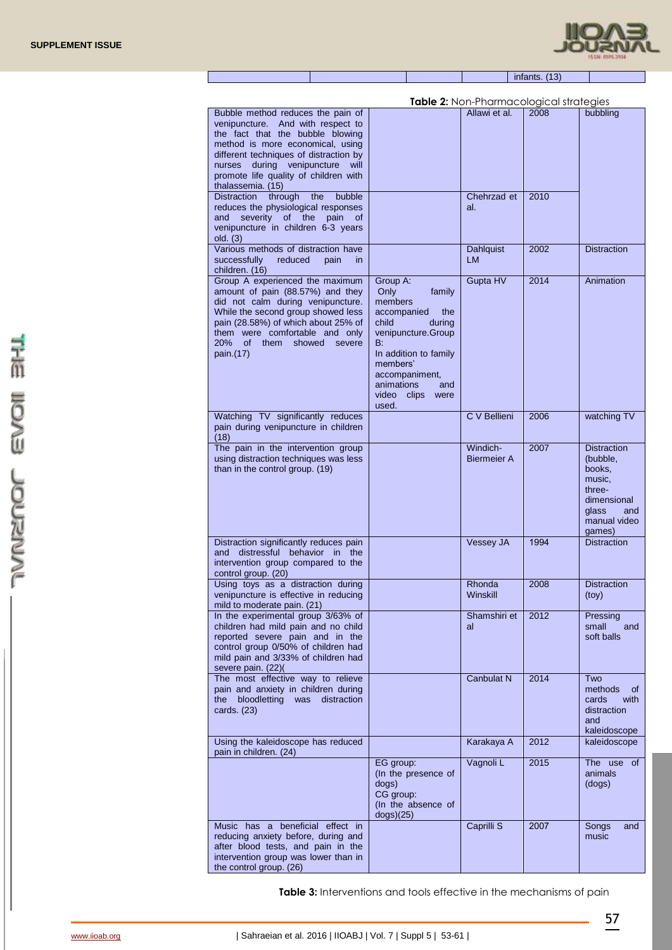

| infants. (13) |  |
|---------------|--|
|               |  |

| <b>Table 2:</b> Non-Pharmacological strategies                                                                                                                                                                                                                                  |                                                                                                                                                                                                                           |                                |      |                                                                                                                       |  |
|---------------------------------------------------------------------------------------------------------------------------------------------------------------------------------------------------------------------------------------------------------------------------------|---------------------------------------------------------------------------------------------------------------------------------------------------------------------------------------------------------------------------|--------------------------------|------|-----------------------------------------------------------------------------------------------------------------------|--|
| Bubble method reduces the pain of<br>venipuncture. And with respect to<br>the fact that the bubble blowing<br>method is more economical, using                                                                                                                                  |                                                                                                                                                                                                                           | Allawi et al.                  | 2008 | bubbling                                                                                                              |  |
| different techniques of distraction by<br>during venipuncture<br>nurses<br>will<br>promote life quality of children with<br>thalassemia. (15)                                                                                                                                   |                                                                                                                                                                                                                           |                                |      |                                                                                                                       |  |
| Distraction<br>through<br>the<br>bubble<br>reduces the physiological responses<br>severity<br>of the<br>pain<br>and<br>0f<br>venipuncture in children 6-3 years<br>old. (3)                                                                                                     |                                                                                                                                                                                                                           | Chehrzad et<br>al.             | 2010 |                                                                                                                       |  |
| Various methods of distraction have<br>successfully<br>reduced<br>pain<br>in.<br>children. (16)                                                                                                                                                                                 |                                                                                                                                                                                                                           | Dahlquist<br>LM.               | 2002 | <b>Distraction</b>                                                                                                    |  |
| Group A experienced the maximum<br>amount of pain (88.57%) and they<br>did not calm during venipuncture.<br>While the second group showed less<br>pain (28.58%) of which about 25% of<br>them were comfortable and only<br>20%<br>of l<br>them<br>showed<br>severe<br>pain.(17) | Group A:<br>Only<br>family<br>members<br>accompanied<br>the<br>child<br>during<br>venipuncture.Group<br>B:<br>In addition to family<br>members'<br>accompaniment,<br>animations<br>and<br>video<br>clips<br>were<br>used. | Gupta HV                       | 2014 | Animation                                                                                                             |  |
| Watching TV significantly reduces<br>pain during venipuncture in children<br>(18)                                                                                                                                                                                               |                                                                                                                                                                                                                           | C V Bellieni                   | 2006 | watching TV                                                                                                           |  |
| The pain in the intervention group<br>using distraction techniques was less<br>than in the control group. (19)                                                                                                                                                                  |                                                                                                                                                                                                                           | Windich-<br><b>Biermeier A</b> | 2007 | <b>Distraction</b><br>(bubble,<br>books.<br>music,<br>three-<br>dimensional<br>glass<br>and<br>manual video<br>games) |  |
| Distraction significantly reduces pain<br>distressful behavior in the<br>and<br>intervention group compared to the<br>control group. (20)                                                                                                                                       |                                                                                                                                                                                                                           | <b>Vessey JA</b>               | 1994 | <b>Distraction</b>                                                                                                    |  |
| Using toys as a distraction during<br>venipuncture is effective in reducing<br>mild to moderate pain. (21)                                                                                                                                                                      |                                                                                                                                                                                                                           | Rhonda<br>Winskill             | 2008 | <b>Distraction</b><br>(toy)                                                                                           |  |
| In the experimental group 3/63% of<br>children had mild pain and no child<br>reported severe pain and in the<br>control group 0/50% of children had<br>mild pain and 3/33% of children had<br>severe pain. (22)(                                                                |                                                                                                                                                                                                                           | Shamshiri et<br>al             | 2012 | Pressing<br>small<br>and<br>soft balls                                                                                |  |
| The most effective way to relieve<br>pain and anxiety in children during<br>bloodletting<br>distraction<br>the<br>was<br>cards. (23)                                                                                                                                            |                                                                                                                                                                                                                           | Canbulat N                     | 2014 | Two<br>methods<br>of<br>cards<br>with<br>distraction<br>and<br>kaleidoscope                                           |  |
| Using the kaleidoscope has reduced<br>pain in children. (24)                                                                                                                                                                                                                    |                                                                                                                                                                                                                           | Karakaya A                     | 2012 | kaleidoscope                                                                                                          |  |
|                                                                                                                                                                                                                                                                                 | EG group:<br>(In the presence of<br>dogs)<br>CG group:<br>(In the absence of<br>dogs)(25)                                                                                                                                 | Vagnoli L                      | 2015 | The use<br>0f<br>animals<br>(dogs)                                                                                    |  |
| Music has a beneficial effect in<br>reducing anxiety before, during and<br>after blood tests, and pain in the<br>intervention group was lower than in<br>the control group. (26)                                                                                                |                                                                                                                                                                                                                           | Caprilli S                     | 2007 | Songs<br>and<br>music                                                                                                 |  |

**Table 3:** Interventions and tools effective in the mechanisms of pain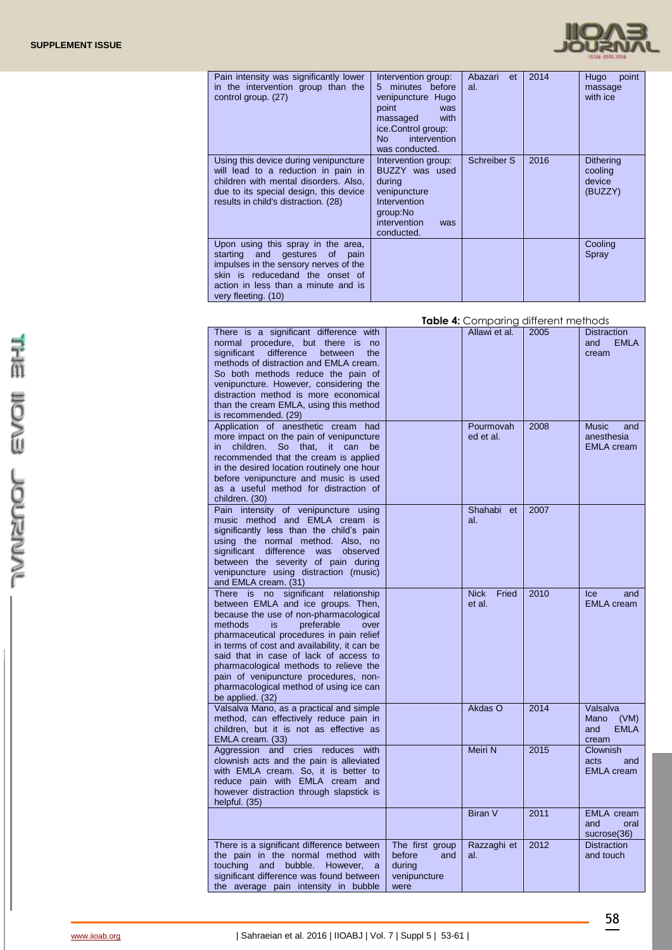

| Pain intensity was significantly lower<br>in the intervention group than the<br>control group. (27)                                                                                                              | Intervention group:<br>minutes before<br>5.<br>venipuncture Hugo<br>point<br>was<br>with<br>massaged<br>ice.Control group:<br>intervention<br>No<br>was conducted. | Abazari<br>et<br>al. | 2014 | <b>Hugo</b><br>point<br>massage<br>with ice      |
|------------------------------------------------------------------------------------------------------------------------------------------------------------------------------------------------------------------|--------------------------------------------------------------------------------------------------------------------------------------------------------------------|----------------------|------|--------------------------------------------------|
| Using this device during venipuncture<br>will lead to a reduction in pain in<br>children with mental disorders. Also,<br>due to its special design, this device<br>results in child's distraction. (28)          | Intervention group:<br>BUZZY was used<br>during<br>venipuncture<br>Intervention<br>group:No<br>intervention<br>was<br>conducted.                                   | Schreiber S          | 2016 | <b>Dithering</b><br>cooling<br>device<br>(BUZZY) |
| Upon using this spray in the area,<br>starting and gestures of<br>pain<br>impulses in the sensory nerves of the<br>skin is reducedand the onset of<br>action in less than a minute and is<br>very fleeting. (10) |                                                                                                                                                                    |                      |      | Cooling<br>Spray                                 |

| Table 4: Comparing different methods |  |
|--------------------------------------|--|
|--------------------------------------|--|

| There is a significant difference with<br>normal procedure, but there is<br>no<br>difference<br>significant<br>between<br>the<br>methods of distraction and EMLA cream.<br>So both methods reduce the pain of<br>venipuncture. However, considering the<br>distraction method is more economical<br>than the cream EMLA, using this method<br>is recommended. (29)                                                                                  |                                                                    | Allawi et al.                  | 2005 | <b>Distraction</b><br><b>EMLA</b><br>and<br>cream       |
|-----------------------------------------------------------------------------------------------------------------------------------------------------------------------------------------------------------------------------------------------------------------------------------------------------------------------------------------------------------------------------------------------------------------------------------------------------|--------------------------------------------------------------------|--------------------------------|------|---------------------------------------------------------|
| Application of anesthetic cream had<br>more impact on the pain of venipuncture<br>children.<br><b>So</b><br>that.<br>it.<br>can<br>be<br>in.<br>recommended that the cream is applied<br>in the desired location routinely one hour<br>before venipuncture and music is used<br>as a useful method for distraction of<br>children. (30)                                                                                                             |                                                                    | Pourmovah<br>ed et al.         | 2008 | <b>Music</b><br>and<br>anesthesia<br><b>EMLA</b> cream  |
| Pain intensity of venipuncture using<br>music method and EMLA cream is<br>significantly less than the child's pain<br>using the normal method. Also, no<br>significant difference<br>was observed<br>between the severity of pain during<br>venipuncture using distraction (music)<br>and EMLA cream. (31)                                                                                                                                          |                                                                    | Shahabi<br>et<br>al.           | 2007 |                                                         |
| There is no significant relationship<br>between EMLA and ice groups. Then,<br>because the use of non-pharmacological<br>methods<br>is<br>preferable<br>over<br>pharmaceutical procedures in pain relief<br>in terms of cost and availability, it can be<br>said that in case of lack of access to<br>pharmacological methods to relieve the<br>pain of venipuncture procedures, non-<br>pharmacological method of using ice can<br>be applied. (32) |                                                                    | <b>Nick</b><br>Fried<br>et al. | 2010 | Ice<br>and<br><b>EMLA</b> cream                         |
| Valsalva Mano, as a practical and simple<br>method, can effectively reduce pain in<br>children, but it is not as effective as<br>EMLA cream. (33)                                                                                                                                                                                                                                                                                                   |                                                                    | Akdas O                        | 2014 | Valsalva<br>Mano<br>(VM)<br><b>EMLA</b><br>and<br>cream |
| Aggression and cries reduces<br>with<br>clownish acts and the pain is alleviated<br>with EMLA cream. So, it is better to<br>reduce pain with EMLA cream and<br>however distraction through slapstick is<br>helpful. (35)                                                                                                                                                                                                                            |                                                                    | Meiri N                        | 2015 | <b>Clownish</b><br>acts<br>and<br><b>EMLA</b> cream     |
|                                                                                                                                                                                                                                                                                                                                                                                                                                                     |                                                                    | <b>Biran V</b>                 | 2011 | <b>EMLA</b> cream<br>and<br>oral<br>sucrose(36)         |
| There is a significant difference between<br>the pain in the normal method with<br>touching<br>and<br>bubble.<br>However,<br>significant difference was found between<br>the average pain intensity in bubble                                                                                                                                                                                                                                       | The first group<br>and<br>before<br>during<br>venipuncture<br>were | Razzaghi et<br>al.             | 2012 | <b>Distraction</b><br>and touch                         |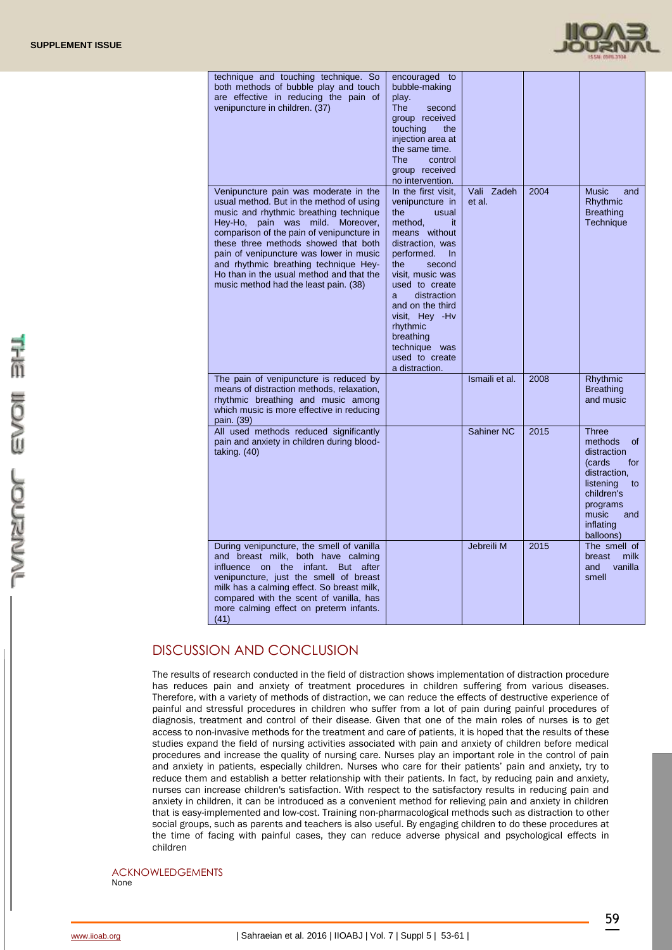

| technique and touching technique. So<br>both methods of bubble play and touch<br>are effective in reducing the pain of<br>venipuncture in children. (37)                                                                                                                                                                                                                                                                            | encouraged<br>to<br>bubble-making<br>play.<br><b>The</b><br>second<br>group received<br>touching<br>the<br>injection area at<br>the same time.<br>control<br>The l<br>group received<br>no intervention.                                                                                                                          |                      |      |                                                                                                                                                               |
|-------------------------------------------------------------------------------------------------------------------------------------------------------------------------------------------------------------------------------------------------------------------------------------------------------------------------------------------------------------------------------------------------------------------------------------|-----------------------------------------------------------------------------------------------------------------------------------------------------------------------------------------------------------------------------------------------------------------------------------------------------------------------------------|----------------------|------|---------------------------------------------------------------------------------------------------------------------------------------------------------------|
| Venipuncture pain was moderate in the<br>usual method. But in the method of using<br>music and rhythmic breathing technique<br>Hey-Ho,<br>pain was mild.<br>Moreover,<br>comparison of the pain of venipuncture in<br>these three methods showed that both<br>pain of venipuncture was lower in music<br>and rhythmic breathing technique Hey-<br>Ho than in the usual method and that the<br>music method had the least pain. (38) | In the first visit,<br>venipuncture in<br>the<br>usual<br>method,<br>it<br>means without<br>distraction, was<br>performed.<br>In<br>the<br>second<br>visit. music was<br>used to create<br>distraction<br>a.<br>and on the third<br>visit, Hey - Hv<br>rhythmic<br>breathing<br>technique was<br>used to create<br>a distraction. | Vali Zadeh<br>et al. | 2004 | <b>Music</b><br>and<br>Rhythmic<br><b>Breathing</b><br><b>Technique</b>                                                                                       |
| The pain of venipuncture is reduced by<br>means of distraction methods, relaxation,<br>rhythmic breathing and music among<br>which music is more effective in reducing<br>pain. (39)                                                                                                                                                                                                                                                |                                                                                                                                                                                                                                                                                                                                   | Ismaili et al.       | 2008 | Rhythmic<br><b>Breathing</b><br>and music                                                                                                                     |
| All used methods reduced significantly<br>pain and anxiety in children during blood-<br>taking. $(40)$                                                                                                                                                                                                                                                                                                                              |                                                                                                                                                                                                                                                                                                                                   | Sahiner NC           | 2015 | Three<br>methods<br>of<br>distraction<br>(cards<br>for<br>distraction.<br>listening<br>to<br>children's<br>programs<br>music<br>and<br>inflating<br>balloons) |
| During venipuncture, the smell of vanilla<br>and breast milk, both have calming<br>influence on the infant.<br>But after<br>venipuncture, just the smell of breast<br>milk has a calming effect. So breast milk,<br>compared with the scent of vanilla, has<br>more calming effect on preterm infants.<br>(41)                                                                                                                      |                                                                                                                                                                                                                                                                                                                                   | Jebreili M           | 2015 | The smell of<br>milk<br>breast<br>vanilla<br>and<br>smell                                                                                                     |

# DISCUSSION AND CONCLUSION

The results of research conducted in the field of distraction shows implementation of distraction procedure has reduces pain and anxiety of treatment procedures in children suffering from various diseases. Therefore, with a variety of methods of distraction, we can reduce the effects of destructive experience of painful and stressful procedures in children who suffer from a lot of pain during painful procedures of diagnosis, treatment and control of their disease. Given that one of the main roles of nurses is to get access to non-invasive methods for the treatment and care of patients, it is hoped that the results of these studies expand the field of nursing activities associated with pain and anxiety of children before medical procedures and increase the quality of nursing care. Nurses play an important role in the control of pain and anxiety in patients, especially children. Nurses who care for their patients' pain and anxiety, try to reduce them and establish a better relationship with their patients. In fact, by reducing pain and anxiety, nurses can increase children's satisfaction. With respect to the satisfactory results in reducing pain and anxiety in children, it can be introduced as a convenient method for relieving pain and anxiety in children that is easy-implemented and low-cost. Training non-pharmacological methods such as distraction to other social groups, such as parents and teachers is also useful. By engaging children to do these procedures at the time of facing with painful cases, they can reduce adverse physical and psychological effects in children

ACKNOWLEDGEMENTS None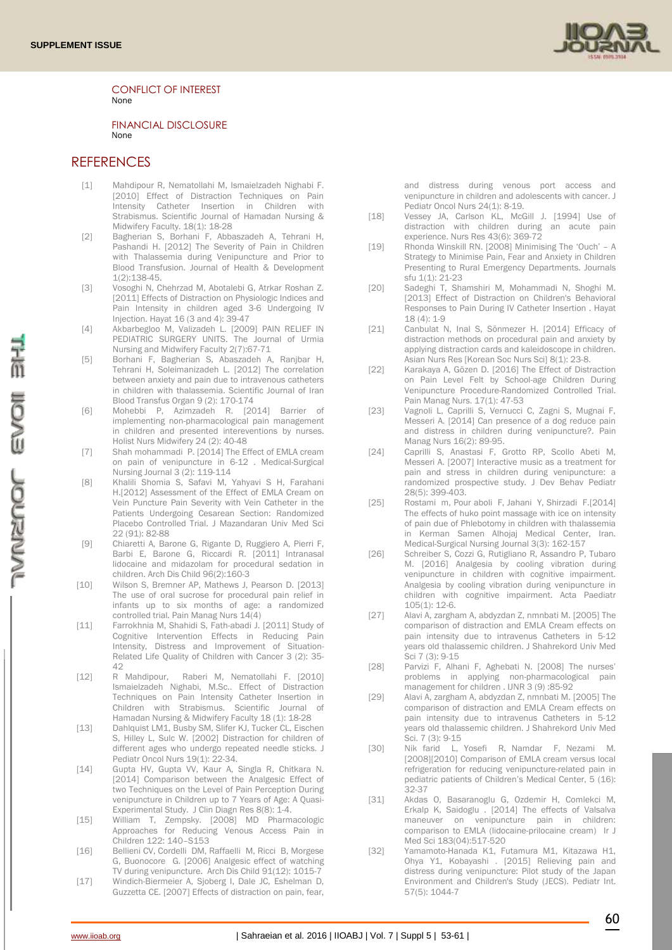

CONFLICT OF INTEREST None

FINANCIAL DISCLOSURE None

### **REFERENCES**

- [1] Mahdipour R, Nematollahi M, Ismaielzadeh Nighabi F. [2010] Effect of Distraction Techniques on Pain Intensity Catheter Insertion in Children with Strabismus. Scientific Journal of Hamadan Nursing & Midwifery Faculty. 18(1): 18-28
- [2] Bagherian S, Borhani F, Abbaszadeh A, Tehrani H, Pashandi H. [2012] The Severity of Pain in Children with Thalassemia during Venipuncture and Prior to Blood Transfusion. Journal of Health & Development 1(2):138-45.
- [3] Vosoghi N, Chehrzad M, Abotalebi G, Atrkar Roshan Z. [2011] Effects of Distraction on Physiologic Indices and Pain Intensity in children aged 3-6 Undergoing IV Injection. Hayat 16 (3 and 4): 39-47
- [4] Akbarbegloo M, Valizadeh L. [2009] PAIN RELIEF IN PEDIATRIC SURGERY UNITS. The Journal of Urmia Nursing and Midwifery Faculty 2(7):67-71
- [5] Borhani F, Bagherian S, Abaszadeh A, Ranjbar H, Tehrani H, Soleimanizadeh L. [2012] The correlation between anxiety and pain due to intravenous catheters in children with thalassemia. Scientific Journal of Iran Blood Transfus Organ 9 (2): 170-174
- [6] Mohebbi P, Azimzadeh R. [2014] Barrier of implementing non-pharmacological pain management in children and presented intereventions by nurses. Holist Nurs Midwifery 24 (2): 40-48
- [7] Shah mohammadi P. [2014] The Effect of EMLA cream on pain of venipuncture in 6-12 . Medical-Surgical Nursing Journal 3 (2): 119-114
- [8] Khalili Shomia S, Safavi M, Yahyavi S H, Farahani H.[2012] Assessment of the Effect of EMLA Cream on Vein Puncture Pain Severity with Vein Catheter in the Patients Undergoing Cesarean Section: Randomized Placebo Controlled Trial. J Mazandaran Univ Med Sci 22 (91): 82-88
- [9] Chiaretti A, Barone G, Rigante D, Ruggiero A, Pierri F, Barbi E, Barone G, Riccardi R. [2011] Intranasal lidocaine and midazolam for procedural sedation in children. Arch Dis Child 96(2):160-3
- [10] Wilson S, Bremner AP, Mathews J, Pearson D. [2013] The use of oral sucrose for procedural pain relief in infants up to six months of age: a randomized controlled trial. Pain Manag Nurs 14(4)
- [11] Farrokhnia M, Shahidi S, Fath-abadi J. [2011] Study of Cognitive Intervention Effects in Reducing Pain Intensity, Distress and Improvement of Situation-Related Life Quality of Children with Cancer 3 (2): 35-  $42$
- [12] R Mahdipour, Raberi M, Nematollahi F. [2010] Ismaielzadeh Nighabi, M.Sc.. Effect of Distraction Techniques on Pain Intensity Catheter Insertion in Children with Strabismus. Scientific Journal of Hamadan Nursing & Midwifery Faculty 18 (1): 18-28
- [13] Dahlquist LM1, Busby SM, Slifer KJ, Tucker CL, Eischen S, Hilley L, Sulc W. [2002] Distraction for children of different ages who undergo repeated needle sticks. J Pediatr Oncol Nurs 19(1): 22-34.
- [14] Gupta HV, Gupta VV, Kaur A, Singla R, Chitkara N. [2014] Comparison between the Analgesic Effect of two Techniques on the Level of Pain Perception During venipuncture in Children up to 7 Years of Age: A Quasi-Experimental Study. J Clin Diagn Res 8(8): 1-4.
- [15] William T, Zempsky. [2008] MD Pharmacologic Approaches for Reducing Venous Access Pain in Children 122: 140–S153
- [16] Bellieni CV, Cordelli DM, Raffaelli M, Ricci B, Morgese G, Buonocore G. [2006] Analgesic effect of watching TV during venipuncture. Arch Dis Child 91(12): 1015-7
- [17] Windich-Biermeier A, Sjoberg I, Dale JC, Eshelman D, Guzzetta CE. [2007] Effects of distraction on pain, fear,

and distress during venous port access and venipuncture in children and adolescents with cancer. J Pediatr Oncol Nurs 24(1): 8-19.

- [18] Vessey JA, Carlson KL, McGill J. [1994] Use of distraction with children during an acute pain experience. Nurs Res 43(6): 369-72
- [19] Rhonda Winskill RN. [2008] Minimising The 'Ouch' A Strategy to Minimise Pain, Fear and Anxiety in Children Presenting to Rural Emergency Departments. Journals sfu 1(1): 21-23
- [20] Sadeghi T, Shamshiri M, Mohammadi N, Shoghi M. [2013] Effect of Distraction on Children's Behavioral Responses to Pain During IV Catheter Insertion . Hayat  $18 (4) \cdot 1 - 9$
- [21] Canbulat N, Inal S, Sönmezer H, [2014] Efficacy of distraction methods on procedural pain and anxiety by applying distraction cards and kaleidoscope in children. Asian Nurs Res [Korean Soc Nurs Sci] 8(1): 23-8.
- [22] Karakaya A, Gözen D. [2016] The Effect of Distraction on Pain Level Felt by School-age Children During Venipuncture Procedure-Randomized Controlled Trial. Pain Manag Nurs. 17(1): 47-53
- [23] Vagnoli L, Caprilli S, Vernucci C, Zagni S, Mugnai F, Messeri A. [2014] Can presence of a dog reduce pain and distress in children during venipuncture?. Pain Manag Nurs 16(2): 89-95.
- [24] Caprilli S, Anastasi F, Grotto RP, Scollo Abeti M, Messeri A. [2007] Interactive music as a treatment for pain and stress in children during venipuncture: a randomized prospective study. J Dev Behav Pediatr 28(5): 399-403.
- [25] Rostami m, Pour aboli F, Jahani Y, Shirzadi F.[2014] The effects of huko point massage with ice on intensity of pain due of Phlebotomy in children with thalassemia in Kerman Samen Alhojaj Medical Center, Iran. Medical-Surgical Nursing Journal 3(3): 162-157
- [26] Schreiber S, Cozzi G, Rutigliano R, Assandro P, Tubaro M. [2016] Analgesia by cooling vibration during venipuncture in children with cognitive impairment. Analgesia by cooling vibration during venipuncture in children with cognitive impairment. Acta Paediatr 105(1): 12-6.
- [27] Alavi A, zargham A, abdyzdan Z, nmnbati M. [2005] The comparison of distraction and EMLA Cream effects on pain intensity due to intravenus Catheters in 5-12 years old thalassemic children. J Shahrekord Univ Med Sci 7 (3): 9-15
- [28] Parvizi F, Alhani F, Aghebati N. [2008] The nurses' problems in applying non-pharmacological pain management for children . IJNR 3 (9) :85-92
- [29] Alavi A, zargham A, abdyzdan Z, nmnbati M. [2005] The comparison of distraction and EMLA Cream effects on pain intensity due to intravenus Catheters in 5-12 years old thalassemic children. J Shahrekord Univ Med Sci. 7 (3): 9-15
- [30] Nik farid L, Yosefi R, Namdar F, Nezami M, [2008][2010] Comparison of EMLA cream versus local refrigeration for reducing venipuncture-related pain in pediatric patients of Children's Medical Center, 5 (16): 32-37
- [31] Akdas O, Basaranoglu G, Ozdemir H, Comlekci M, Erkalp K, Saidoglu . [2014] The effects of Valsalva maneuver on venipuncture pain in children: comparison to EMLA (lidocaine-prilocaine cream) Ir J Med Sci 183(04):517-520
- [32] Yamamoto-Hanada K1, Futamura M1, Kitazawa H1, Ohya Y1, Kobayashi . [2015] Relieving pain and distress during venipuncture: Pilot study of the Japan Environment and Children's Study (JECS). Pediatr Int. 57(5): 1044-7